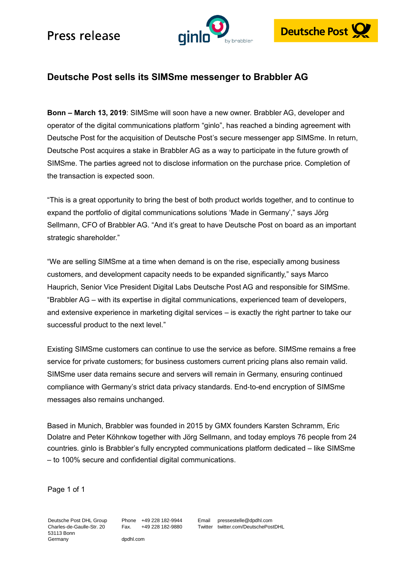# Press release





### **Deutsche Post sells its SIMSme messenger to Brabbler AG**

**Bonn – March 13, 2019**: SIMSme will soon have a new owner. Brabbler AG, developer and operator of the digital communications platform "ginlo", has reached a binding agreement with Deutsche Post for the acquisition of Deutsche Post's secure messenger app SIMSme. In return, Deutsche Post acquires a stake in Brabbler AG as a way to participate in the future growth of SIMSme. The parties agreed not to disclose information on the purchase price. Completion of the transaction is expected soon.

"This is a great opportunity to bring the best of both product worlds together, and to continue to expand the portfolio of digital communications solutions 'Made in Germany'," says Jörg Sellmann, CFO of Brabbler AG. "And it's great to have Deutsche Post on board as an important strategic shareholder."

"We are selling SIMSme at a time when demand is on the rise, especially among business customers, and development capacity needs to be expanded significantly," says Marco Hauprich, Senior Vice President Digital Labs Deutsche Post AG and responsible for SIMSme. "Brabbler AG – with its expertise in digital communications, experienced team of developers, and extensive experience in marketing digital services – is exactly the right partner to take our successful product to the next level."

Existing SIMSme customers can continue to use the service as before. SIMSme remains a free service for private customers; for business customers current pricing plans also remain valid. SIMSme user data remains secure and servers will remain in Germany, ensuring continued compliance with Germany's strict data privacy standards. End-to-end encryption of SIMSme messages also remains unchanged.

Based in Munich, Brabbler was founded in 2015 by GMX founders Karsten Schramm, Eric Dolatre and Peter Köhnkow together with Jörg Sellmann, and today employs 76 people from 24 countries. ginlo is Brabbler's fully encrypted communications platform dedicated – like SIMSme – to 100% secure and confidential digital communications.

Page 1 of 1

Deutsche Post DHL Group Charles-de-Gaulle-Str. 20 53113 Bonn Germany

Phone +49 228 182-9944 Fax. +49 228 182-9880

dpdhl.com